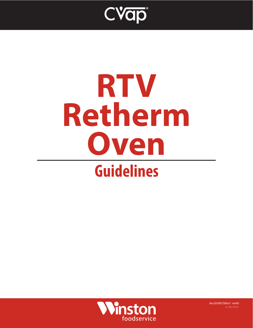

# **RTV Retherm Oven Guidelines**



doc20200728rbs1 rev00 rs 02-10-21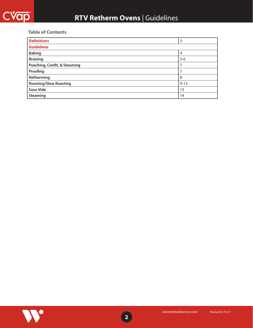#### **Table of Contents**

| <b>Definitions</b>            | 3        |
|-------------------------------|----------|
| <b>Guidelines</b>             |          |
| <b>Baking</b>                 | 4        |
| <b>Braising</b>               | $5-6$    |
| Poaching, Confit, & Steaming  |          |
| Proofing                      |          |
| Retherming                    | 8        |
| <b>Roasting/Slow Roasting</b> | $9 - 13$ |
| <b>Sous Vide</b>              | 13       |
| <b>Steaming</b>               | 14       |

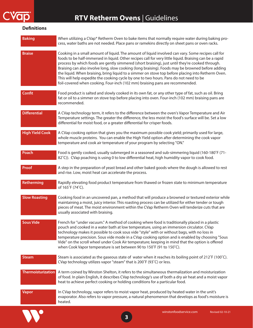<span id="page-2-0"></span>

#### **Definitions**

| <b>Baking</b>             | When utilizing a CVap® Retherm Oven to bake items that normally require water during baking pro-<br>cess, water baths are not needed. Place pans or ramekins directly on sheet pans or oven racks.                                                                                                                                                                                                                                                                                                                                                                                                                                                                                                  |
|---------------------------|-----------------------------------------------------------------------------------------------------------------------------------------------------------------------------------------------------------------------------------------------------------------------------------------------------------------------------------------------------------------------------------------------------------------------------------------------------------------------------------------------------------------------------------------------------------------------------------------------------------------------------------------------------------------------------------------------------|
| <b>Braise</b>             | Cooking in a small amount of liquid. The amount of liquid involved can vary. Some recipes call for<br>foods to be half-immersed in liquid. Other recipes call for very little liquid. Braising can be a rapid<br>process by which foods are gently simmered (short braising), just until they're cooked through.<br>Braising can also involve long, slow cooking (long braising). Foods may be browned before adding<br>the liquid. When braising, bring liquid to a simmer on stove top before placing into Retherm Oven.<br>This will help expedite the cooking cycle by one to two hours. Pans do not need to be<br>foil-covered when cooking. Four-inch (102 mm) braising pans are recommended. |
| <b>Confit</b>             | Food product is salted and slowly cooked in its own fat, or any other type of fat, such as oil. Bring<br>fat or oil to a simmer on stove top before placing into oven. Four-inch (102 mm) braising pans are<br>recommended.                                                                                                                                                                                                                                                                                                                                                                                                                                                                         |
| <b>Differential</b>       | A CVap technology term, it refers to the difference between the oven's Vapor Temperature and Air<br>Temperature settings. The greater the difference, the less moist the food's surface will be. Set a low<br>differential for moist food, or a greater differential for crisper foods.                                                                                                                                                                                                                                                                                                                                                                                                             |
| <b>High Yield Cook</b>    | A CVap cooking option that gives you the maximum possible cook yield; primarily used for large,<br>whole muscle proteins. You can enable the High Yield option after determining the cook vapor<br>temperature and cook air temperature of your program by selecting "ON."                                                                                                                                                                                                                                                                                                                                                                                                                          |
| Poach                     | Food is gently cooked, usually submerged in a seasoned and sub-simmering liquid (160-180°F (71-<br>82°C)). CVap poaching is using 0 to low differential heat, high humidity vapor to cook food.                                                                                                                                                                                                                                                                                                                                                                                                                                                                                                     |
| Proof                     | A step in the preparation of yeast bread and other baked goods where the dough is allowed to rest<br>and rise. Low, moist heat can accelerate the process.                                                                                                                                                                                                                                                                                                                                                                                                                                                                                                                                          |
| Retherming                | Rapidly elevating food product temperature from thawed or frozen state to minimum temperature<br>of 165°F (74°C).                                                                                                                                                                                                                                                                                                                                                                                                                                                                                                                                                                                   |
| <b>Slow Roasting</b>      | Cooking food in an uncovered pan, a method that will produce a browned or textured exterior while<br>maintaining a moist, juicy interior. This roasting process can be utilized for either tender or tough<br>pieces of meat. The moist environment within the CVap Retherm Oven will tenderize cuts that are<br>usually associated with braising.                                                                                                                                                                                                                                                                                                                                                  |
| <b>Sous Vide</b>          | French for "under vacuum." A method of cooking where food is traditionally placed in a plastic<br>pouch and cooked in a water bath at low temperature, using an immersion circulator. CVap<br>technology makes it possible to cook sous vide "style" with or without bags, with no loss in<br>temperature precision. Sous vide mode in a CVap cooking option and is enabled by choosing "Sous<br>Vide" on the scroll wheel under Cook Air temperature; keeping in mind that the option is offered<br>when Cook Vapor temperature is set between 90 to 150°F (91 to 150°C).                                                                                                                          |
| <b>Steam</b>              | Steam is associated as the gaseous state of water when it reaches its boiling point of 212°F (100°C).<br>CVap technology utilizes vapor "steam" that is 200°F (93°C) or less.                                                                                                                                                                                                                                                                                                                                                                                                                                                                                                                       |
| <b>Thermoisturization</b> | A term coined by Winston Shelton, it refers to the simultaneous thermalization and moisturization<br>of food. In plain English, it describes CVap technology's use of both a dry air heat and a moist vapor<br>heat to achieve perfect cooking or holding conditions for a particular food.                                                                                                                                                                                                                                                                                                                                                                                                         |
| <b>Vapor</b>              | In CVap technology, vapor refers to moist vapor heat, produced by heated water in the unit's<br>evaporator. Also refers to vapor pressure, a natural phenomenon that develops as food's moisture is<br>heated.                                                                                                                                                                                                                                                                                                                                                                                                                                                                                      |
|                           | winstonfoodservice.com<br><b>Revised 02-10-21</b>                                                                                                                                                                                                                                                                                                                                                                                                                                                                                                                                                                                                                                                   |

**3**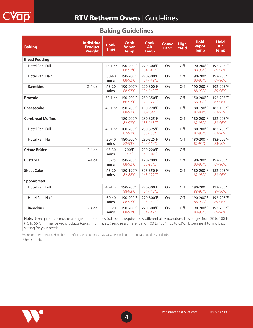<span id="page-3-0"></span>

|  | <b>Baking Guidelines</b> |
|--|--------------------------|
|--|--------------------------|

| <b>Baking</b>            | <b>Individual</b><br><b>Product</b><br><b>Weight</b> | <b>Cook</b><br><b>Time</b> | <b>Cook</b><br><b>Vapor</b><br><b>Temp</b> | <b>Cook</b><br>Air<br><b>Temp</b> | <b>Convc</b><br>Fan* | <b>High</b><br>Yield | <b>Hold</b><br><b>Vapor</b><br><b>Temp</b> | <b>Hold</b><br><b>Air</b><br><b>Temp</b> |
|--------------------------|------------------------------------------------------|----------------------------|--------------------------------------------|-----------------------------------|----------------------|----------------------|--------------------------------------------|------------------------------------------|
| <b>Bread Pudding</b>     |                                                      |                            |                                            |                                   |                      |                      |                                            |                                          |
| Hotel Pan, Full          |                                                      | :45-1 hr                   | 190-200°F<br>88-93°C                       | 220-300°F<br>104-149°C            | On                   | Off                  | 190-200°F<br>88-93°C                       | 192-205°F<br>89-96°C                     |
| Hotel Pan, Half          |                                                      | $:30-40$<br>mins           | 190-200°F<br>88-93°C                       | 220-300°F<br>104-149°C            | On                   | Off                  | 190-200°F<br>88-93°C                       | 192-205°F<br>89-96°C                     |
| Ramekins                 | $2-4$ oz                                             | $:15 - 20$<br>mins         | 190-200°F<br>88-93°C                       | 220-300°F<br>104-149°C            | On                   | Off                  | 190-200°F<br>88-93°C                       | 192-205°F<br>89-96°C                     |
| <b>Brownie</b>           |                                                      | :30-1 hr                   | 150-200°F<br>66-93°C                       | 250-350°F<br>121-177°C            | On                   | Off                  | 150-200°F<br>66-93°C                       | 152-205°F<br>67-96°C                     |
| Cheesecake               |                                                      | :45-1 hr                   | 190-200°F<br>88-93°C                       | 190-220°F<br>80-104°C             | On                   | Off                  | 180-190°F<br>82-88°C                       | 182-195°F<br>83-91°C                     |
| <b>Cornbread Muffins</b> |                                                      |                            | 180-200°F<br>82-93°C                       | 280-325°F<br>138-163°C            | On                   | Off                  | 180-200°F<br>82-93°C                       | 182-205°F<br>83-96°C                     |
| Hotel Pan, Full          |                                                      | :45-1 hr                   | 180-200°F<br>82-93°C                       | 280-325°F<br>138-163°C            | On                   | Off                  | 180-200°F<br>82-93°C                       | 182-205°F<br>83-96°C                     |
| Hotel Pan, Half          |                                                      | $:30-40$<br>mins           | 180-200°F<br>82-93°C                       | 280-325°F<br>138-163°C            | On                   | Off                  | 180-200°F<br>82-93°C                       | 182-205°F<br>83-96°C                     |
| Crème Brûlée             | $2-4$ oz                                             | $:15 - 30$<br>mins         | 200°F<br>93°C                              | 200-220°F<br>93-104°C             | On                   | Off                  |                                            |                                          |
| <b>Custards</b>          | $2-4$ oz                                             | $:15 - 25$<br>mins         | 190-200°F<br>88-93°C                       | 190-200°F<br>88-93°C              | On                   | Off                  | 190-200°F<br>88-93°C                       | 192-205°F<br>89-96°C                     |
| <b>Sheet Cake</b>        |                                                      | $:15 - 20$<br>mins         | 180-190°F<br>82-88°C                       | 325-350°F<br>163-177°C            | <b>On</b>            | Off                  | 180-200°F<br>82-93°C                       | 182-205°F<br>83-96°C                     |
| Spoonbread               |                                                      |                            |                                            |                                   |                      |                      |                                            |                                          |
| Hotel Pan, Full          |                                                      | $:45-1$ hr                 | 190-200°F<br>88-93°C                       | 220-300°F<br>104-149°C            | On                   | Off                  | 190-200°F<br>88-93°C                       | 192-205°F<br>89-96°C                     |
| Hotel Pan, Half          |                                                      | $:30-40$<br>mins           | 190-200°F<br>88-93°C                       | 220-300°F<br>104-149°C            | On                   | Off                  | 190-200°F<br>88-93°C                       | 192-205°F<br>89-96°C                     |
| Ramekins                 | $2-4$ oz                                             | $:15-20$<br>mins           | 190-200°F<br>88-93°C                       | 220-300°F<br>104-149°C            | On                   | Off                  | 190-200°F<br>88-93°C                       | 192-205°F<br>89-96°C                     |

Note: Baked products require a range of differentials. Soft foods require a low differential temperature. This ranges from 30 to 100°F (16 to 55°C). Firmer baked products (cakes, muffins, etc.) require a differential of 100 to 150°F (55 to 83°C). Experiment to find best setting for your needs.

We recommend setting Hold Time to Infinite, as hold times may vary, depending on menu and quality standards.

\*Series 7 only.

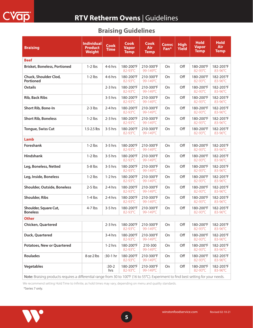## **Braising Guidelines**

<span id="page-4-0"></span>

| <b>Braising</b>                                                                                                                      | <b>Individual</b><br><b>Product</b><br><b>Weight</b> | <b>Cook</b><br><b>Time</b> | <b>Cook</b><br><b>Vapor</b><br><b>Temp</b> | <b>Cook</b><br>Air<br><b>Temp</b> | <b>Convc</b><br>Fan <sup>*</sup> | <b>High</b><br><b>Yield</b> | <b>Hold</b><br><b>Vapor</b><br><b>Temp</b> | <b>Hold</b><br><b>Air</b><br><b>Temp</b> |
|--------------------------------------------------------------------------------------------------------------------------------------|------------------------------------------------------|----------------------------|--------------------------------------------|-----------------------------------|----------------------------------|-----------------------------|--------------------------------------------|------------------------------------------|
| <b>Beef</b>                                                                                                                          |                                                      |                            |                                            |                                   |                                  |                             |                                            |                                          |
| <b>Brisket, Boneless, Portioned</b>                                                                                                  | $1-2$ lbs                                            | $4-6$ hrs                  | 180-200°F<br>82-93°C                       | 210-300°F<br>99-149°C             | On                               | Off                         | 180-200°F<br>82-93°C                       | 182-205°F<br>83-96°C                     |
| Chuck, Shoulder Clod,<br><b>Portioned</b>                                                                                            | $1-2$ lbs                                            | $4-6$ hrs                  | 180-200°F<br>82-93°C                       | 210-300°F<br>99-149°C             | On                               | Off                         | 180-200°F<br>82-93°C                       | 182-205°F<br>83-96°C                     |
| <b>Oxtails</b>                                                                                                                       |                                                      | $2-3$ hrs                  | 180-200°F<br>82-93°C                       | 210-300°F<br>99-149°C             | On                               | Off                         | 180-200°F<br>82-93°C                       | 182-205°F<br>83-96°C                     |
| <b>Rib, Back Ribs</b>                                                                                                                |                                                      | $3-5$ hrs                  | 180-200°F<br>82-93°C                       | 210-300°F<br>99-149°C             | <b>On</b>                        | Off                         | 180-200°F<br>82-93°C                       | 182-205°F<br>83-96°C                     |
| <b>Short Rib, Bone-In</b>                                                                                                            | $2-3$ lbs                                            | $2-4$ hrs                  | 180-200°F<br>82-93°C                       | 210-300°F<br>99-149°C             | On                               | Off                         | 180-200°F<br>82-93°C                       | 182-205°F<br>83-96°C                     |
| <b>Short Rib, Boneless</b>                                                                                                           | $1-2$ lbs                                            | $2-3$ hrs                  | 180-200°F<br>82-93°C                       | 210-300°F<br>99-149°C             | On                               | Off                         | 180-200°F<br>$82 - 93^{\circ}$ C           | 182-205°F<br>83-96°C                     |
| <b>Tongue, Swiss Cut</b>                                                                                                             | $1.5 - 2.5$ lbs                                      | $3-5$ hrs                  | 180-200°F<br>82-93°C                       | 210-300°F<br>99-149°C             | On                               | Off                         | 180-200°F<br>82-93°C                       | 182-205°F<br>83-96°C                     |
| Lamb                                                                                                                                 |                                                      |                            |                                            |                                   |                                  |                             |                                            |                                          |
| Foreshank                                                                                                                            | $1-2$ lbs                                            | $3-5$ hrs                  | 180-200°F<br>82-93°C                       | 210-300°F<br>99-149°C             | On                               | Off                         | 180-200°F<br>82-93°C                       | 182-205°F<br>83-96°C                     |
| <b>Hindshank</b>                                                                                                                     | $1-2$ lbs                                            | $3-5$ hrs                  | 180-200°F<br>82-93°C                       | 210-300°F<br>99-149°C             | On                               | Off                         | 180-200°F<br>82-93°C                       | 182-205°F<br>83-96°C                     |
| Leg, Boneless, Netted                                                                                                                | $5-8$ lbs                                            | $3-5$ hrs                  | 180-200°F<br>82-93°C                       | 210-300°F<br>99-149°C             | On                               | Off                         | 180-200°F<br>82-93°C                       | 182-205°F<br>83-96°C                     |
| Leg, Inside, Boneless                                                                                                                | $1-2$ lbs                                            | $1-2$ hrs                  | 180-200°F<br>82-93°C                       | 210-300°F<br>99-149°C             | On                               | Off                         | 180-200°F<br>82-93°C                       | 182-205°F<br>83-96°C                     |
| <b>Shoulder, Outside, Boneless</b>                                                                                                   | $2-5$ lbs                                            | $2-4$ hrs                  | 180-200°F<br>82-93°C                       | 210-300°F<br>99-149°C             | 0n                               | Off                         | 180-200°F<br>82-93°C                       | 182-205°F<br>83-96°C                     |
| <b>Shoulder, Ribs</b>                                                                                                                | $1-4$ lbs                                            | $2-4$ hrs                  | 180-200°F<br>82-93°C                       | 210-300°F<br>99-149°C             | On                               | Off                         | 180-200°F<br>82-93°C                       | 182-205°F<br>83-96°C                     |
| Shoulder, Square Cut,<br><b>Boneless</b>                                                                                             | $4-7$ lbs                                            | $3-5$ hrs                  | 180-200°F<br>82-93°C                       | 210-300°F<br>99-149°C             | On                               | Off                         | 180-200°F<br>82-93°C                       | 182-205°F<br>83-96°C                     |
| <b>Other</b>                                                                                                                         |                                                      |                            |                                            |                                   |                                  |                             |                                            |                                          |
| <b>Chicken, Quartered</b>                                                                                                            |                                                      | $2-3$ hrs                  | 180-200°F<br>82-93°C                       | 210-300°F<br>99-149°C             | On                               | Off                         | 180-200°F<br>82-93°C                       | 182-205°F<br>83-96°C                     |
| Duck, Quartered                                                                                                                      |                                                      | $3-4$ hrs                  | 180-200°F<br>82-93°C                       | 210-300°F<br>99-149°C             | On                               | Off                         | 180-200°F<br>82-93°C                       | 182-205°F<br>83-96°C                     |
| <b>Potatoes, New or Quartered</b>                                                                                                    |                                                      | $1-2$ hrs                  | 180-200°F<br>82-93°C                       | 210-300<br>99-149°C               | On                               | Off                         | 180-200°F<br>82-93°C                       | 182-205°F<br>83-96°C                     |
| <b>Roulades</b>                                                                                                                      | 8 oz-2 lbs                                           | :30-1 hr                   | 180-200°F<br>82-93°C                       | 210-300°F<br>99-149°C             | On                               | Off                         | 180-200°F<br>82-93°C                       | 182-205°F<br>83-96°C                     |
| <b>Vegetables</b>                                                                                                                    |                                                      | $:30-2$<br>hrs             | 180-200°F<br>82-93°C                       | 210-300°F<br>99-149°C             | On                               | Off                         | 180-200°F<br>82-93°C                       | 182-205°F<br>83-96°C                     |
| Note: Braising products requires a differential range from 30 to 100°F (16 to 55°C). Experiment to find best setting for your needs. |                                                      |                            |                                            |                                   |                                  |                             |                                            |                                          |

We recommend setting Hold Time to Infinite, as hold times may vary, depending on menu and quality standards.

\*Series 7 only.



**5**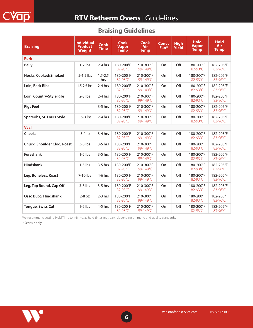| <b>Braising</b>             | <b>Individual</b><br><b>Product</b><br><b>Weight</b> | <b>Cook</b><br><b>Time</b> | <b>Cook</b><br><b>Vapor</b><br><b>Temp</b> | <b>Cook</b><br>Air<br><b>Temp</b> | <b>Convc</b><br>Fan* | <b>High</b><br><b>Yield</b> | <b>Hold</b><br><b>Vapor</b><br><b>Temp</b> | <b>Hold</b><br><b>Air</b><br><b>Temp</b> |
|-----------------------------|------------------------------------------------------|----------------------------|--------------------------------------------|-----------------------------------|----------------------|-----------------------------|--------------------------------------------|------------------------------------------|
| <b>Pork</b>                 |                                                      |                            |                                            |                                   |                      |                             |                                            |                                          |
| <b>Belly</b>                | $1-2$ lbs                                            | $2-4$ hrs                  | 180-200°F<br>82-93°C                       | 210-300°F<br>99-149°C             | On                   | Off                         | 180-200°F<br>82-93°C                       | 182-205°F<br>83-96°C                     |
| Hocks, Cooked/Smoked        | $.5 - 1.5$ lbs                                       | $1.5 - 2.5$<br>hrs         | 180-200°F<br>82-93°C                       | 210-300°F<br>99-149°C             | On                   | Off                         | 180-200°F<br>82-93°C                       | 182-205°F<br>83-96°C                     |
| Loin, Back Ribs             | $1.5 - 2.5$ lbs                                      | $2-4$ hrs                  | 180-200°F<br>82-93°C                       | 210-300°F<br>99-149°C             | On                   | Off                         | 180-200°F<br>82-93°C                       | 182-205°F<br>83-96°C                     |
| Loin, Country-Style Ribs    | $2-3$ lbs                                            | $2-4$ hrs                  | 180-200°F<br>82-93°C                       | 210-300°F<br>99-149°C             | On                   | Off                         | 180-200°F<br>82-93°C                       | 182-205°F<br>83-96°C                     |
| <b>Pigs Feet</b>            |                                                      | $3-5$ hrs                  | 180-200°F<br>82-93°C                       | 210-300°F<br>99-149°C             | On                   | Off                         | 180-200°F<br>82-93°C                       | 182-205°F<br>83-96°C                     |
| Spareribs, St. Louis Style  | 1.5-3 lbs                                            | 2-4 hrs                    | 180-200°F<br>82-93°C                       | 210-300°F<br>99-149°C             | On                   | Off                         | 180-200°F<br>82-93°C                       | 182-205°F<br>83-96°C                     |
| <b>Veal</b>                 |                                                      |                            |                                            |                                   |                      |                             |                                            |                                          |
| <b>Cheeks</b>               | $.5-1$ lb                                            | $3-4$ hrs                  | 180-200°F<br>82-93°C                       | 210-300°F<br>99-149°C             | On                   | Off                         | 180-200°F<br>82-93°C                       | 182-205°F<br>83-96°C                     |
| Chuck, Shoulder Clod, Roast | $3-6$ lbs                                            | $3-5$ hrs                  | 180-200°F<br>82-93°C                       | 210-300°F<br>99-149°C             | On                   | Off                         | 180-200°F<br>82-93°C                       | 182-205°F<br>83-96°C                     |
| Foreshank                   | $1-5$ lbs                                            | $3-5$ hrs                  | 180-200°F<br>82-93°C                       | 210-300°F<br>99-149°C             | On                   | Off                         | 180-200°F<br>82-93°C                       | 182-205°F<br>83-96°C                     |
| <b>Hindshank</b>            | $1-5$ lbs                                            | $3-5$ hrs                  | 180-200°F<br>82-93°C                       | 210-300°F<br>99-149°C             | On                   | Off                         | 180-200°F<br>82-93°C                       | 182-205°F<br>83-96°C                     |
| Leg, Boneless, Roast        | 7-10 lbs                                             | 4-6 hrs                    | 180-200°F<br>82-93°C                       | 210-300°F<br>99-149°C             | On                   | Off                         | 180-200°F<br>82-93°C                       | 182-205°F<br>83-96°C                     |
| Leg, Top Round, Cap Off     | $3-8$ lbs                                            | $3-5$ hrs                  | 180-200°F<br>82-93°C                       | 210-300°F<br>99-149°C             | On                   | Off                         | 180-200°F<br>82-93°C                       | 182-205°F<br>83-96°C                     |
| Osso Buco, Hindshank        | $2-8$ oz                                             | $2-3$ hrs                  | 180-200°F<br>82-93°C                       | 210-300°F<br>99-149°C             | On                   | Off                         | 180-200°F<br>82-93°C                       | 182-205°F<br>83-96°C                     |
| <b>Tongue, Swiss Cut</b>    | $1-2$ lbs                                            | $4-5$ hrs                  | 180-200°F<br>82-93°C                       | 210-300°F<br>99-149°C             | On                   | Off                         | 180-200°F<br>82-93°C                       | 182-205°F<br>83-96°C                     |

## **Braising Guidelines**

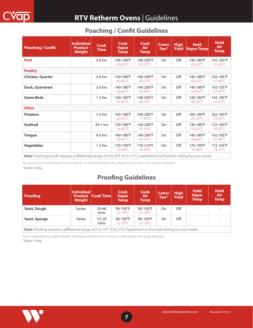<span id="page-6-0"></span>

| <b>Poaching / Confit</b>                                                                                                                                                                                                                                              | <b>Individual</b><br><b>Product</b><br><b>Weight</b> | Cook<br>Time | <b>Cook</b><br><b>Vapor</b><br><b>Temp</b> | <b>Cook</b><br>Air<br><b>Temp</b> | <b>Convc</b><br>Fan <sup>*</sup> | <b>High</b><br>Yield | <b>Hold</b><br><b>Vapor Temp</b> | <b>Hold</b><br>Air<br><b>Temp</b> |
|-----------------------------------------------------------------------------------------------------------------------------------------------------------------------------------------------------------------------------------------------------------------------|------------------------------------------------------|--------------|--------------------------------------------|-----------------------------------|----------------------------------|----------------------|----------------------------------|-----------------------------------|
| <b>Pork</b>                                                                                                                                                                                                                                                           |                                                      | $3-6$ hrs    | 140-180°F<br>$60 - 82$ °C                  | 140-200°F<br>$60-93$ °C           | <b>On</b>                        | Off                  | 140-180°F<br>$60 - 82^{\circ}C$  | 142-185°F<br>$61 - 85^{\circ}$ C  |
| <b>Poultry</b>                                                                                                                                                                                                                                                        |                                                      |              |                                            |                                   |                                  |                      |                                  |                                   |
| Chicken, Quarter                                                                                                                                                                                                                                                      |                                                      | $2-6$ hrs    | 140-180°F<br>$60 - 82$ °C                  | 140-200°F<br>$60-93$ °C           | <b>On</b>                        | Off                  | 140-180°F<br>$60 - 82^{\circ}C$  | 142-185°F<br>$61 - 85^{\circ}$ C  |
| Duck, Quartered                                                                                                                                                                                                                                                       |                                                      | $2-6$ hrs    | 140-180°F<br>$60 - 82$ °C                  | 140-200°F<br>$60-93$ °C           | On                               | Off                  | 140-180°F<br>$60 - 82^{\circ}C$  | 142-185°F<br>$61-85^{\circ}$ C    |
| <b>Game Birds</b>                                                                                                                                                                                                                                                     |                                                      | $1-2$ hrs    | 140-180°F<br>$60 - 82$ °C                  | 140-200°F<br>$60-93$ °C           | On                               | Off                  | 140-180°F<br>$60 - 82^{\circ}C$  | 142-185°F<br>$61 - 85^{\circ}$ C  |
| <b>Other</b>                                                                                                                                                                                                                                                          |                                                      |              |                                            |                                   |                                  |                      |                                  |                                   |
| <b>Potatoes</b>                                                                                                                                                                                                                                                       |                                                      | $1-2$ hrs    | 160-180°F<br>60-82°C                       | 160-200°F<br>71-93°C              | On                               | Off                  | 160-180°F<br>$60 - 82$ °C        | 162-185°F<br>72-85°C              |
| <b>Seafood</b>                                                                                                                                                                                                                                                        |                                                      | :30-1 hrs    | 130-180°F<br>54-82°C                       | 130-200°F<br>54-93°C              | On                               | Off                  | 130-180°F<br>54-82°C             | 132-185°F<br>56-85°C              |
| <b>Tongue</b>                                                                                                                                                                                                                                                         |                                                      | $4-6$ hrs    | 140-180°F<br>$60 - 82$ °C                  | 140-200°F<br>$60-93$ °C           | On                               | Off                  | 140-180°F<br>$60 - 82^{\circ}C$  | 142-185°F<br>$61 - 85^{\circ}$ C  |
| <b>Vegetables</b>                                                                                                                                                                                                                                                     |                                                      | $1-2$ hrs    | 170-190°F<br>76-88°C                       | 170-210°F<br>76-99°C              | <b>On</b>                        | Off                  | 170-190°F<br>76-88°C             | 172-195°F<br>78-91°C              |
| $\mathbf{M}$ is $\mathbf{D}$ and $\mathbf{C}$ is the contract of $\mathbf{C}$ and $\mathbf{C}$ is the contract of $\mathbf{C}$ is the contract of $\mathbf{C}$ is the contract of $\mathbf{C}$ is the contract of $\mathbf{C}$ is the contract of $\mathbf{C}$ is the |                                                      |              |                                            |                                   |                                  |                      |                                  |                                   |

Note: Poaching/confit requires a differential range of 0 to 20°F (0 to 11°C). Experiment to find best setting for your needs.

We recommend setting Hold Time to Infinite, as hold times may vary, depending on menu and quality standards.

\*Series 7 only.

## **Proofing Guidelines**

| Proofing      | Individual<br><b>Product</b><br><b>Weight</b>                                                                         | $\vert$ Cook Time $\vert$ | <b>Cook</b><br><b>Vapor</b><br>Temp      | <b>Cook</b><br><b>Air</b><br>Temp        | <b>Convc</b><br>Fan* | <b>High</b><br><b>Yield</b> | <b>Hold</b><br><b>Vapor</b><br><b>Temp</b> | <b>Hold</b><br>Air<br><b>Temp</b> |  |  |
|---------------|-----------------------------------------------------------------------------------------------------------------------|---------------------------|------------------------------------------|------------------------------------------|----------------------|-----------------------------|--------------------------------------------|-----------------------------------|--|--|
| Yeast, Dough  | Varies                                                                                                                | :20-40<br>mins            | $90-100^{\circ}F$<br>$32 - 38^{\circ}C$  | $90-100^{\circ}F$<br>$32 - 38^{\circ}$ C | On                   | Off                         |                                            |                                   |  |  |
| Yeast, Sponge | Varies                                                                                                                | :15-20<br>mins            | $90-100^{\circ}F$<br>$32 - 38^{\circ}$ C | $90-100^{\circ}F$<br>$32 - 38^{\circ}C$  | On                   | Off                         |                                            |                                   |  |  |
|               | Note: Proofing requires a differential range of 0 to 10°F (0 to 5°C). Experiment to find best setting for your needs. |                           |                                          |                                          |                      |                             |                                            |                                   |  |  |

\*Series 7 only. Time is dependent on type of dough. The heavier and the more inclusions inside dough, the longer the proof.

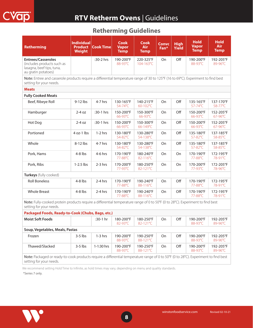## **Retherming Guidelines**

<span id="page-7-0"></span>

| <b>Retherming</b>                                                                                                                                              | <b>Individual</b><br><b>Product</b><br><b>Weight</b> | <b>Cook Time</b> | <b>Cook</b><br><b>Vapor</b><br><b>Temp</b> | <b>Cook</b><br><b>Air</b><br><b>Temp</b> | <b>Convc</b><br>Fan* | <b>High</b><br><b>Yield</b> | <b>Hold</b><br><b>Vapor</b><br><b>Temp</b> | <b>Hold</b><br><b>Air</b><br><b>Temp</b> |  |
|----------------------------------------------------------------------------------------------------------------------------------------------------------------|------------------------------------------------------|------------------|--------------------------------------------|------------------------------------------|----------------------|-----------------------------|--------------------------------------------|------------------------------------------|--|
| <b>Entrees/Casseroles</b><br>(includes products such as<br>lasagna, beef tips, tuna,<br>au gratin potatoes)                                                    |                                                      | :30-2 hrs        | 190-200°F<br>88-93°C                       | 220-325°F<br>104-163°C                   | On                   | Off                         | 190-200°F<br>88-93°C                       | 192-205°F<br>89-96°C                     |  |
| Note: Entree and casserole products require a differential temperature range of 30 to 125°F (16 to 69°C). Experiment to find best<br>setting for your needs.   |                                                      |                  |                                            |                                          |                      |                             |                                            |                                          |  |
| <b>Meats</b>                                                                                                                                                   |                                                      |                  |                                            |                                          |                      |                             |                                            |                                          |  |
| <b>Fully Cooked Meats</b>                                                                                                                                      |                                                      |                  |                                            |                                          |                      |                             |                                            |                                          |  |
| Beef, Ribeye Roll                                                                                                                                              | $9-12$ lbs                                           | 4-7 hrs          | 130-165°F<br>54-74°C                       | 140-215°F<br>60-102°C                    | On                   | Off                         | 135-165°F<br>57-74°C                       | 137-170°F<br>58-77°C                     |  |
| Hamburger                                                                                                                                                      | $2-4$ oz                                             | :30-1 hrs        | 150-200°F<br>66-93°C                       | 150-300°F<br>66-93°C                     | On                   | Off                         | 150-200°F<br>66-93°C                       | 152-205°F<br>67-96°C                     |  |
| Hot Dog                                                                                                                                                        | $2-4$ oz                                             | :30-1 hrs        | 150-200°F<br>66-93°C                       | 150-300°F<br>66-149°C                    | On                   | Off                         | 150-200°F<br>66-93°C                       | 152-205°F<br>67-96°C                     |  |
| Portioned                                                                                                                                                      | 4 oz-1 lbs                                           | $1-2$ hrs        | 130-180°F<br>54-82°C                       | 130-280°F<br>54-138°C                    | On                   | Off                         | 135-180°F<br>57-82°C                       | 137-185°F<br>58-85°C                     |  |
| Whole                                                                                                                                                          | $8-12$ lbs                                           | 4-7 hrs          | 130-180°F<br>54-82°C                       | 130-280°F<br>54-138°C                    | On                   | Off                         | 135-180°F<br>57-82°C                       | 137-185°F<br>58-85°C                     |  |
| Pork, Hams                                                                                                                                                     | $4-8$ lbs                                            | 4-6 hrs          | 170-190°F<br>77-88°C                       | 180-240°F<br>82-116°C                    | On                   | On                          | 170-190°F<br>77-88°C                       | 172-195°F<br>78-91°C                     |  |
| Pork, Ribs                                                                                                                                                     | $1-2.5$ lbs                                          | $2-3$ hrs        | 170-200°F<br>77-93°C                       | 180-250°F<br>82-121°C                    | On                   | On                          | 170-200°F<br>77-93°C                       | 172-205°F<br>78-96°C                     |  |
| Turkeys (fully cooked)                                                                                                                                         |                                                      |                  |                                            |                                          |                      |                             |                                            |                                          |  |
| <b>Roll Boneless</b>                                                                                                                                           | $4-8$ lbs                                            | $2-4$ hrs        | 170-190°F<br>77-88°C                       | 190-240°F<br>88-116°C                    | On                   | Off                         | 170-190°F<br>77-88°C                       | 172-195°F<br>78-91°C                     |  |
| <b>Whole Breast</b>                                                                                                                                            | $4-8$ lbs                                            | $2-4$ hrs        | 170-190°F<br>77-88°C                       | 190-240°F<br>88-116°C                    | On                   | Off                         | 170-190°F<br>77-88°C                       | 172-195°F<br>78-91°C                     |  |
| Note: Fully-cooked protein products require a differential temperature range of 0 to 50°F (0 to 28°C). Experiment to find best<br>setting for your needs.      |                                                      |                  |                                            |                                          |                      |                             |                                            |                                          |  |
| Packaged Foods, Ready-to-Cook (Chubs, Bags, etc.)                                                                                                              |                                                      |                  |                                            |                                          |                      |                             |                                            |                                          |  |
| <b>Moist Soft Foods</b>                                                                                                                                        |                                                      | :30-1 hr         | 180-200°F<br>82-93°C                       | 180-250°F<br>82-121°C                    | On                   | Off                         | 190-200°F<br>88-93°C                       | 192-205°F<br>89-96°C                     |  |
| Soup, Vegetables, Meals, Pastas                                                                                                                                |                                                      |                  |                                            |                                          |                      |                             |                                            |                                          |  |
| Frozen                                                                                                                                                         | $3-5$ lbs                                            | $1-3$ hrs        | 190-200°F<br>88-93°C                       | 190-250°F<br>88-121°C                    | On                   | Off                         | 190-200°F<br>88-93°C                       | 192-205°F<br>89-96°C                     |  |
| Thawed/Slacked                                                                                                                                                 | $3-5$ lbs                                            | 1-1:30 hrs       | 190-200°F<br>88-93°C                       | 190-250°F<br>88-121°C                    | On                   | Off                         | 190-200°F<br>88-93°C                       | 192-205°F<br>89-96°C                     |  |
| Note: Packaged or ready-to-cook products require a differential temperature range of 0 to 50°F (0 to 28°C). Experiment to find best<br>setting for your needs. |                                                      |                  |                                            |                                          |                      |                             |                                            |                                          |  |

We recommend setting Hold Time to Infinite, as hold times may vary, depending on menu and quality standards.

\*Series 7 only.

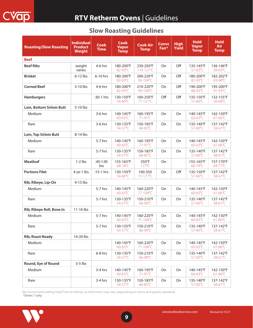# **RTV Retherm Ovens** | Guidelines

<span id="page-8-0"></span>

| <b>Roasting/Slow Roasting</b> | <b>Individual</b><br><b>Product</b><br><b>Weight</b> | <b>Cook</b><br><b>Time</b> | <b>Cook</b><br><b>Vapor</b><br><b>Temp</b> | <b>Cook Air</b><br><b>Temp</b> | <b>Convc</b><br>Fan* | <b>High</b><br><b>Yield</b> | <b>Hold</b><br><b>Vapor</b><br><b>Temp</b> | <b>Hold</b><br><b>Air</b><br><b>Temp</b> |
|-------------------------------|------------------------------------------------------|----------------------------|--------------------------------------------|--------------------------------|----------------------|-----------------------------|--------------------------------------------|------------------------------------------|
| <b>Beef</b>                   |                                                      |                            |                                            |                                |                      |                             |                                            |                                          |
| <b>Beef Ribs</b>              | weight<br>varies                                     | 4-6 hrs                    | 180-200°F<br>82-93°C                       | 230-250°F<br>110-121°C         | On                   | Off                         | 135-145°F<br>57-63°C                       | 136-146°F<br>58-63°C                     |
| <b>Brisket</b>                | $6-12$ lbs                                           | 6-10 hrs                   | 180-200°F<br>82-93°C                       | 200-220°F<br>93-104°C          | On                   | Off                         | 180-200°F<br>82-93°C                       | 182-202°F<br>83-94°C                     |
| <b>Corned Beef</b>            | 5-10 lbs                                             | 4-6 hrs                    | 180-200°F<br>82-93°C                       | 210-220°F<br>99-104°C          | On                   | Off                         | 190-200°F<br>88-93°C                       | 195-200°F<br>91-93°C                     |
| <b>Hamburgers</b>             |                                                      | :30-1 hrs                  | 130-150°F<br>54-66°C                       | 160-250°F<br>71-121°C          | Off                  | Off                         | 135-150°F<br>57-66°C                       | 132-155°F<br>56-68°C                     |
| Loin, Bottom Sirloin Butt     | 5-10 lbs                                             |                            |                                            |                                |                      |                             |                                            |                                          |
| Medium                        |                                                      | $3-6$ hrs                  | 140-145°F<br>$60 - 63^{\circ}C$            | 160-195°F<br>71-91°C           | On                   | On                          | 140-145°F<br>$60-63$ °C                    | 142-150°F<br>$61-66$ °C                  |
| Rare                          |                                                      | 3-6 hrs                    | 130-135°F<br>54-57°C                       | 150-185°F<br>66-85°C           | On                   | On                          | 135-140°F<br>57-60°C                       | 137-142°F<br>58-61°C                     |
| Loin, Top Sirloin Butt        | 8-14 lbs                                             |                            |                                            |                                |                      |                             |                                            |                                          |
| Medium                        |                                                      | 5-7 hrs                    | 140-145°F<br>$60 - 63^{\circ}C$            | 160-195°F<br>71-91°C           | On                   | On                          | 140-145°F<br>$60 - 63^{\circ}C$            | 142-150°F<br>$61-66$ °C                  |
| Rare                          |                                                      | 5-7 hrs                    | 130-135°F<br>54-57°C                       | 150-185°F<br>66-85°C           | On                   | On                          | 135-140°F<br>57-60°C                       | 137-142°F<br>58-61°C                     |
| <b>Meatloaf</b>               | $1-2$ lbs                                            | $:45-1:30$<br>hrs          | 155-165°F<br>68-74°C                       | 350°F<br>$177^{\circ}$ C       | On                   |                             | 155-165°F<br>68-74°C                       | 157-170°F<br>69-77°C                     |
| <b>Portions Filet</b>         | 4 oz-1 lbs                                           | $:15-1$ hrs                | 130-150°F<br>54-66°C                       | 160-350<br>71-177°C            | On                   | Off                         | 135-150°F<br>57-66°C                       | 137-142°F<br>58-61°C                     |
| Rib, Ribeye, Lip-On           | 9-15 lbs                                             |                            |                                            |                                |                      |                             |                                            |                                          |
| Medium                        |                                                      | 5-7 hrs                    | 140-145°F<br>$60-63$ °C                    | 160-220°F<br>71-104°C          | On                   | On                          | 140-145°F<br>$60-63$ °C                    | 142-150°F<br>$61 - 66^{\circ}C$          |
| Rare                          |                                                      | 5-7 hrs                    | 130-135°F<br>54-57°C                       | 150-210°F<br>66-99°C           | On                   | On                          | 135-140°F<br>57-60°C                       | 137-142°F<br>58-61°C                     |
| Rib, Ribeye Roll, Bone In     | 11-16 lbs                                            |                            |                                            |                                |                      |                             |                                            |                                          |
| Medium                        |                                                      | 5-7 hrs                    | 140-145°F<br>$60-63^{\circ}C$              | 160-220°F<br>71-104°C          | On                   | On                          | 140-145°F<br>$60-63$ °C                    | 142-150°F<br>$61-66^{\circ}$ C           |
| Rare                          |                                                      | 5-7 hrs                    | 130-135°F<br>54-57°C                       | 150-210°F<br>66-99°C           | On                   | On                          | 135-140°F<br>57-60°C                       | 137-142°F<br>58-61°C                     |
| Rib, Roast-Ready              | 14-20 lbs                                            |                            |                                            |                                |                      |                             |                                            |                                          |
| Medium                        |                                                      |                            | 140-145°F<br>60-63°C                       | 160-220°F<br>71-104°C          | On                   | On                          | 140-145°F<br>60-63°C                       | 142-150°F<br>$61 - 66^{\circ}C$          |
| Rare                          |                                                      | 6-8 hrs                    | 130-135°F<br>54-57°C                       | 150-210°F<br>66-99°C           | On                   | On                          | 135-140°F<br>57-60°C                       | 137-142°F<br>58-61°C                     |
| Round, Eye of Round           | $3-5$ lbs                                            |                            |                                            |                                |                      |                             |                                            |                                          |
| Medium                        |                                                      | $3-4$ hrs                  | 140-145°F<br>60-63°C                       | 160-195°F<br>71-91°C           | On                   | On                          | 140-145°F<br>60-63°C                       | 142-150°F<br>$61-66^{\circ}C$            |
| Rare                          |                                                      | $3-4$ hrs                  | 130-135°F<br>54-57°C                       | 150-185°F<br>66-85°C           | On                   | On                          | 135-140°F<br>57-60°C                       | 137-142°F<br>58-61°C                     |

## **Slow Roasting Guidelines**

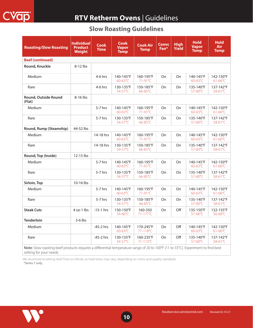

## **RTV Retherm Ovens** | Guidelines

## **Slow Roasting Guidelines**

| <b>Roasting/Slow Roasting</b>                                                                                                                               | <b>Individual</b><br><b>Product</b><br><b>Weight</b> | <b>Cook</b><br><b>Time</b> | <b>Cook</b><br><b>Vapor</b><br><b>Temp</b> | <b>Cook Air</b><br><b>Temp</b> | <b>Convc</b><br>Fan* | <b>High</b><br>Yield | <b>Hold</b><br><b>Vapor</b><br><b>Temp</b> | <b>Hold</b><br><b>Air</b><br><b>Temp</b> |
|-------------------------------------------------------------------------------------------------------------------------------------------------------------|------------------------------------------------------|----------------------------|--------------------------------------------|--------------------------------|----------------------|----------------------|--------------------------------------------|------------------------------------------|
| <b>Beef (continued)</b>                                                                                                                                     |                                                      |                            |                                            |                                |                      |                      |                                            |                                          |
| Round, Knuckle                                                                                                                                              | 8-12 lbs                                             |                            |                                            |                                |                      |                      |                                            |                                          |
| Medium                                                                                                                                                      |                                                      | 4-6 hrs                    | 140-145°F<br>$60 - 63^{\circ}C$            | 160-195°F<br>71-91°C           | <b>On</b>            | <b>On</b>            | 140-145°F<br>$60 - 63^{\circ}C$            | 142-150°F<br>$61-66^{\circ}$ C           |
| Rare                                                                                                                                                        |                                                      | 4-6 hrs                    | 130-135°F<br>54-57°C                       | 150-185°F<br>66-85°C           | On                   | On                   | 135-140°F<br>57-60°C                       | 137-142°F<br>58-61°C                     |
| Round, Outside Round<br>(Flat)                                                                                                                              | 8-16 lbs                                             |                            |                                            |                                |                      |                      |                                            |                                          |
| Medium                                                                                                                                                      |                                                      | $5-7$ hrs                  | 140-145°F<br>$60 - 63^{\circ}C$            | 160-195°F<br>71-91°C           | <b>On</b>            | On                   | 140-145°F<br>$60 - 63^{\circ}C$            | 142-150°F<br>$61 - 66^{\circ}C$          |
| Rare                                                                                                                                                        |                                                      | $5-7$ hrs                  | 130-135°F<br>54-57°C                       | 150-185°F<br>66-85°C           | <b>On</b>            | On                   | 135-140°F<br>57-60°C                       | 137-142°F<br>58-61°C                     |
| Round, Rump (Steamship)                                                                                                                                     | 44-52 lbs                                            |                            |                                            |                                |                      |                      |                                            |                                          |
| Medium                                                                                                                                                      |                                                      | 14-18 hrs                  | 140-145°F<br>60-63°C                       | 160-195°F<br>71-91°C           | On                   | On                   | 140-145°F<br>60-63°C                       | 142-150°F<br>$61-66^{\circ}$ C           |
| Rare                                                                                                                                                        |                                                      | 14-18 hrs                  | 130-135°F<br>54-57°C                       | 150-185°F<br>66-85°C           | On                   | On                   | 135-140°F<br>57-60°C                       | 137-142°F<br>58-61°C                     |
| Round, Top (Inside)                                                                                                                                         | 12-15 lbs                                            |                            |                                            |                                |                      |                      |                                            |                                          |
| Medium                                                                                                                                                      |                                                      | 5-7 hrs                    | 140-145°F<br>60-63°C                       | 160-195°F<br>71-91°C           | On                   | On                   | 140-145°F<br>$60-63$ °C                    | 142-150°F<br>$61-66^{\circ}$ C           |
| Rare                                                                                                                                                        |                                                      | $5-7$ hrs                  | 130-135°F<br>54-57°C                       | 150-185°F<br>66-85°C           | On                   | On                   | 135-140°F<br>57-60°C                       | 137-142°F<br>58-61°C                     |
| Sirloin, Top                                                                                                                                                | 10-16 lbs                                            |                            |                                            |                                |                      |                      |                                            |                                          |
| Medium                                                                                                                                                      |                                                      | $5-7$ hrs                  | 140-145°F<br>60-63°C                       | 160-195°F<br>71-91°C           | <b>On</b>            | <b>On</b>            | 140-145°F<br>$60-63^{\circ}$ C             | 142-150°F<br>$61-66^{\circ}$ C           |
| Rare                                                                                                                                                        |                                                      | 5-7 hrs                    | 130-135°F<br>54-57°C                       | 150-185°F<br>66-85°C           | On                   | On                   | 135-140°F<br>57-60°C                       | 137-142°F<br>58-61°C                     |
| <b>Steak Cuts</b>                                                                                                                                           | 4 oz-1 lbs                                           | :15-1 hrs                  | 130-150°F<br>54-66°C                       | 160-350<br>71-177°C            | On                   | Off                  | 135-150°F<br>57-66°C                       | 132-155°F<br>56-68°C                     |
| <b>Tenderloin</b>                                                                                                                                           | $3-6$ lbs                                            |                            |                                            |                                |                      |                      |                                            |                                          |
| Medium                                                                                                                                                      |                                                      | :45-2 hrs                  | 140-145°F<br>60-63°C                       | 170-245°F<br>71-118°C          | On                   | Off                  | 140-145°F<br>60-63°C                       | 142-150°F<br>$61-66^{\circ}$ C           |
| Rare                                                                                                                                                        |                                                      | :45-2 hrs                  | 130-135°F<br>54-57°C                       | 160-235°F<br>71-113°C          | On                   | Off                  | 135-140°F<br>57-60°C                       | 137-142°F<br>58-61°C                     |
| Note: Slow roasting beef products requires a differential temperature range of 20 to 100°F (11 to 55°C). Experiment to find best<br>setting for your needs. |                                                      |                            |                                            |                                |                      |                      |                                            |                                          |

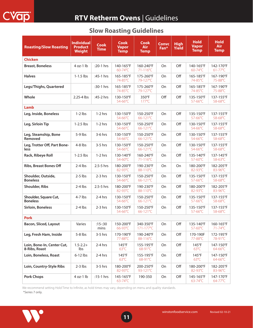| <b>Roasting/Slow Roasting</b>               | <b>Individual</b><br><b>Product</b><br><b>Weight</b> | <b>Cook</b><br><b>Time</b> | <b>Cook</b><br><b>Vapor</b><br><b>Temp</b> | <b>Cook</b><br><b>Air</b><br><b>Temp</b> | <b>Convc</b><br>Fan* | <b>High</b><br><b>Yield</b> | <b>Hold</b><br><b>Vapor</b><br><b>Temp</b> | <b>Hold</b><br><b>Air</b><br><b>Temp</b> |
|---------------------------------------------|------------------------------------------------------|----------------------------|--------------------------------------------|------------------------------------------|----------------------|-----------------------------|--------------------------------------------|------------------------------------------|
| <b>Chicken</b>                              |                                                      |                            |                                            |                                          |                      |                             |                                            |                                          |
| <b>Breast, Boneless</b>                     | $4 oz-1 lb$                                          | :20-1 hrs                  | 140-165°F<br>$60-74$ °C                    | 160-240°F<br>$71 - 116^{\circ}$ C        | On                   | Off                         | 140-165°F<br>60-74°C                       | 142-170°F<br>$61 - 77^{\circ}C$          |
| <b>Halves</b>                               | $1-1.5$ lbs                                          | :45-1 hrs                  | 165-185°F<br>74-85°C                       | 175-260°F<br>79-127°C                    | On                   | Off                         | 165-185°F<br>74-85°C                       | 167-190°F<br>75-88°C                     |
| Legs/Thighs, Quartered                      |                                                      | :30-1 hrs                  | 165-185°F<br>74-85°C                       | 175-260°F<br>79-127°C                    | On                   | Off                         | 165-185°F<br>74-85°C                       | 167-190°F<br>75-88°C                     |
| Whole                                       | $2.25 - 4$ lbs                                       | :45-2 hrs                  | 130-150°F<br>54-66°C                       | 350°F<br>177°C                           | Off                  | Off                         | 135-150°F<br>57-66°C                       | 137-155°F<br>58-68°C                     |
| <b>Lamb</b>                                 |                                                      |                            |                                            |                                          |                      |                             |                                            |                                          |
| Leg, Inside, Boneless                       | $1-2$ lbs                                            | $1-2$ hrs                  | 130-150°F<br>54-66°C                       | 150-250°F<br>$66 - 121$ °C               | On                   | Off                         | 135-150°F<br>57-66°C                       | 137-155°F<br>58-68°C                     |
| Leg, Sirloin Tip                            | $1-2.5$ lbs                                          | $1-2$ hrs                  | 130-150°F<br>54-66°C                       | 150-250°F<br>66-121°C                    | On                   | Off                         | 130-150°F<br>$54 - 66^{\circ}$ C           | 137-155°F<br>58-68°C                     |
| Leg, Steamship, Bone<br>Removed             | $5-9$ lbs                                            | $3-6$ hrs                  | 130-150°F<br>54-66°C                       | 150-250°F<br>66-121°C                    | On                   | Off                         | 130-150°F<br>54-66°C                       | 137-155°F<br>58-68°C                     |
| Leg, Trotter Off, Part Bone-<br>less        | $4-8$ lbs                                            | $3-5$ hrs                  | 130-150°F<br>54-66°C                       | 150-250°F<br>66-121°C                    | On                   | Off                         | 130-150°F<br>54-66°C                       | 137-155°F<br>58-68°C                     |
| Rack, Ribeye Roll                           | $1-2.5$ lbs                                          | $1-2$ hrs                  | 130-140°F<br>54-60°C                       | 160-240°F<br>$71 - 116^{\circ}C$         | On                   | Off                         | 135-140°F<br>57-60°C                       | 137-145°F<br>58-63°C                     |
| <b>Ribs, Breast Bones Off</b>               | $2-4$ lbs                                            | $2.5 - 5$ hrs              | 180-200°F<br>82-93°C                       | 190-230°F<br>88-110°C                    | On                   | On                          | 180-200°F<br>82-93°C                       | 182-205°F<br>83-96°C                     |
| Shoulder, Outside,<br><b>Boneless</b>       | $2-5$ lbs                                            | $2-3$ hrs                  | 130-150°F<br>54-66°C                       | 150-250°F<br>66-121°C                    | On                   | Off                         | 135-150°F<br>57-66°C                       | 137-155°F<br>58-68°C                     |
| <b>Shoulder, Ribs</b>                       | $2-4$ lbs                                            | $2.5 - 5$ hrs              | 180-200°F<br>82-93°C                       | 190-230°F<br>88-110°C                    | On                   | Off                         | 180-200°F<br>82-93°C                       | 182-205°F<br>83-96°C                     |
| Shoulder, Square Cut,<br><b>Boneless</b>    | $4-7$ lbs                                            | $2-4$ hrs                  | 130-150°F<br>54-66°C                       | 150-250°F<br>66-121°C                    | On                   | Off                         | 135-150°F<br>57-66°C                       | 137-155°F<br>58-68°C                     |
| Sirloin, Boneless                           | $2-4$ lbs                                            | $2-3$ hrs                  | 130-150°F<br>54-66°C                       | 150-250°F<br>66-121°C                    | On                   | Off                         | 135-150°F<br>57-66°C                       | 137-155°F<br>58-68°C                     |
| <b>Pork</b>                                 |                                                      |                            |                                            |                                          |                      |                             |                                            |                                          |
| <b>Bacon, Sliced, Layout</b>                | Varies                                               | $:15 - 30$<br>mins         | 150-200°F<br>66-93°C                       | 340-350°F<br>171-177°C                   | On                   | Off                         | 135-140°F<br>57-60°C                       | 160-165°F<br>71-74°C                     |
| Leg, Fresh Ham, Inside                      | $5-8$ lbs                                            | 3-5 hrs                    | 170-190°F<br>77-88°C                       | 190-240°F<br>88-116°C                    | On                   | Off                         | 170-190F<br>77-88°C                        | 172-195°F<br>78-91°C                     |
| Loin, Bone-In, Center Cut,<br>8-Ribs, Roast | $1.5 - 2.2 +$<br>Ibs                                 | 2-4 hrs                    | 145°F<br>$63^{\circ}$ C                    | 155-195°F<br>68-91°C                     | On                   | Off                         | $145^{\circ}$ F<br>$63^{\circ}$ C          | 147-150°F<br>$64-66$ °C                  |
| Loin, Boneless, Roast                       | $6-12$ lbs                                           | 2-4 hrs                    | $145^{\circ}F$<br>$63^{\circ}$ C           | 155-195°F<br>68-91°C                     | On                   | Off                         | 145°F<br>$63^{\circ}$ C                    | 147-150°F<br>64-66°C                     |
| Loin, Country-Style Ribs                    | $2-3$ lbs                                            | $3-5$ hrs                  | 180-200°F<br>82-93°C                       | 200-250°F<br>93-121°C                    | On                   | Off                         | 180-200°F<br>$82-93^{\circ}$ C             | 182-205°F<br>83-96°C                     |
| <b>Pork Chops</b>                           | $4$ oz-1 lb                                          | :15-1 hrs                  | 145-165°F<br>$63-74^{\circ}$ C             | 190-350                                  | On                   | Off                         | 145-165°F<br>$63 - 74^{\circ}C$            | 147-170°F<br>$64-77^{\circ}$ C           |

## **Slow Roasting Guidelines**

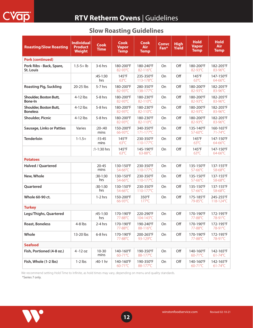## **RTV Retherm Ovens** | Guidelines

| <b>Roasting/Slow Roasting</b>                | <b>Individual</b><br><b>Product</b><br><b>Weight</b> | <b>Cook</b><br><b>Time</b> | Cook<br><b>Vapor</b><br><b>Temp</b> | <b>Cook</b><br><b>Air</b><br><b>Temp</b> | <b>Convc</b><br>Fan* | <b>High</b><br><b>Yield</b> | <b>Hold</b><br><b>Vapor</b><br><b>Temp</b> | <b>Hold</b><br><b>Air</b><br><b>Temp</b> |
|----------------------------------------------|------------------------------------------------------|----------------------------|-------------------------------------|------------------------------------------|----------------------|-----------------------------|--------------------------------------------|------------------------------------------|
| <b>Pork (continued)</b>                      |                                                      |                            |                                     |                                          |                      |                             |                                            |                                          |
| Pork Ribs - Back, Spare,<br><b>St. Louis</b> | $1.5 - 5 + lb$                                       | $3-6$ hrs                  | 180-200°F<br>82-93°C                | 180-240°F<br>82-116°C                    | On                   | Off                         | 180-200°F<br>82-93°C                       | 182-205°F<br>83-96°C                     |
|                                              |                                                      | $:45-1:30$<br>hrs          | $145^{\circ}F$<br>$63^{\circ}$ C    | 235-350°F<br>113-178°C                   | On                   | Off                         | $145^{\circ}$ F<br>$63^{\circ}$ C          | 147-150°F<br>64-66°C                     |
| <b>Roasting Pig, Suckling</b>                | 20-25 lbs                                            | $5-7$ hrs                  | 180-200°F<br>82-93°C                | 280-350°F<br>138-177°C                   | On                   | Off                         | 180-200°F<br>82-93°C                       | 182-205°F<br>83-96°C                     |
| Shoulder, Boston Butt,<br>Bone-In            | $4-12$ lbs                                           | $5-8$ hrs                  | 180-200°F<br>82-93°C                | 180-230°F<br>82-110°C                    | On                   | Off                         | 180-200°F<br>82-93°C                       | 182-205°F<br>83-96°C                     |
| Shoulder, Boston Butt,<br><b>Boneless</b>    | $4-12$ lbs                                           | $5-8$ hrs                  | 180-200°F<br>82-93°C                | 180-230°F<br>82-110°C                    | On                   | Off                         | 180-200°F<br>82-93°C                       | 182-205°F<br>83-96°C                     |
| <b>Shoulder, Picnic</b>                      | $4-12$ lbs                                           | $5-8$ hrs                  | 180-200°F<br>82-93°C                | 180-230°F<br>82-110°C                    | On                   | Off                         | 180-200°F<br>82-93°C                       | 182-205°F<br>83-96°C                     |
| <b>Sausage, Links or Patties</b>             | Varies                                               | :20:40<br>mins             | 150-200°F<br>66-93°C                | 340-350°F<br>$171 - 177^{\circ}$ C       | On                   | Off                         | 135-140°F<br>57-60°C                       | 160-165°F<br>$71 - 74$ °C                |
| <b>Tenderloin</b>                            | $1 - 1.5 +$                                          | $:15-45$<br>mins           | $145^{\circ}$ F<br>$63^{\circ}$ C   | 230-350°F<br>110-177°C                   | On                   | Off                         | $145^{\circ}$ F<br>$63^{\circ}$ C          | 147-150°F<br>64-66°C                     |
|                                              |                                                      | $:1 - 1:30$ hrs            | $145^{\circ}$ F<br>$63^{\circ}$ C   | 145-190°F<br>$63 - 88^{\circ}$ C         | On                   | Off                         | $145^{\circ}F$<br>$63^{\circ}$ C           | 147-150°F<br>64-66°C                     |
| <b>Potatoes</b>                              |                                                      |                            |                                     |                                          |                      |                             |                                            |                                          |
| <b>Halved / Quartered</b>                    |                                                      | $20 - 45$<br>mins          | 130-150°F<br>54-66°C                | 230-350°F<br>110-177°C                   | On                   | Off                         | 135-150°F<br>57-66°C                       | 137-155°F<br>58-68°C                     |
| New, Whole                                   |                                                      | $:30-1:30$<br>hrs          | 130-150°F<br>54-66°C                | 230-350°F<br>110-177°C                   | On                   | Off                         | 135-150°F<br>57-66°C                       | 137-155°F<br>58-68°C                     |
| Quartered                                    |                                                      | $:30-1:30$<br>hrs          | 130-150°F<br>54-66°C                | 230-350°F<br>110-177°C                   | On                   | Off                         | 135-150°F<br>57-66°C                       | 137-155°F<br>58-68°C                     |
| <b>Whole 60-90 ct.</b>                       |                                                      | $1-2$ hrs                  | 150-200°F<br>66-93°C                | 350°F<br>$177^{\circ}$ C                 | <b>On</b>            | Off                         | 175-185°F<br>79-85°C                       | 245-255°F<br>118-124°C                   |
| <b>Turkey</b>                                |                                                      |                            |                                     |                                          |                      |                             |                                            |                                          |
| Legs/Thighs, Quartered                       |                                                      | $:45-1:30$<br>hrs          | 170-190°F<br>77-88°C                | 220-290°F<br>104-143°C                   | On                   | Off                         | 170-190°F<br>77-88°C                       | 172-195°F<br>78-91°C                     |
| <b>Roast, Boneless</b>                       | $4-8$ lbs                                            | 2-4 hrs                    | 170-190°F<br>77-88°C                | 190-240°F<br>88-116°C                    | On                   | Off                         | 170-190°F<br>77-88°C                       | 172-195°F<br>78-91°C                     |
| Whole                                        | 13-20 lbs                                            | 6-8 hrs                    | 170-190°F<br>77-88°C                | 200-265°F<br>93-129°C                    | On                   | Off                         | 170-190°F<br>77-88°C                       | 172-195°F<br>78-91°C                     |
| <b>Seafood</b>                               |                                                      |                            |                                     |                                          |                      |                             |                                            |                                          |
| Fish, Portioned (4-8 oz.)                    | $4 - 12$ oz                                          | $10 - 30$<br>mins          | 140-160°F<br>60-71°C                | 190-350°F<br>88-177°C                    | On                   | Off                         | 140-160°F<br>60-71°C                       | 142-165°F<br>$61-74$ °C                  |
| Fish, Whole (1-2 lbs)                        | $1-2$ lbs                                            | :40-1 hr                   | 140-160°F<br>60-71°C                | 190-350°F<br>88-177°C                    | On                   | Off                         | 140-160°F<br>60-71°C                       | 142-165°F<br>$61 - 74$ °C                |

**12**

## **Slow Roasting Guidelines**

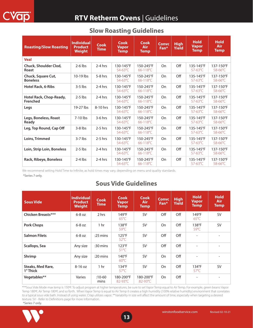| <b>Roasting/Slow Roasting</b>         | <b>Individual</b><br><b>Product</b><br><b>Weight</b> | <b>Cook</b><br><b>Time</b> | <b>Cook</b><br><b>Vapor</b><br><b>Temp</b> | Cook<br><b>Air</b><br><b>Temp</b> | <b>Convc</b><br>Fan* | <b>High</b><br><b>Yield</b> | <b>Hold</b><br><b>Vapor</b><br><b>Temp</b> | <b>Hold</b><br>Air<br><b>Temp</b> |
|---------------------------------------|------------------------------------------------------|----------------------------|--------------------------------------------|-----------------------------------|----------------------|-----------------------------|--------------------------------------------|-----------------------------------|
| <b>Veal</b>                           |                                                      |                            |                                            |                                   |                      |                             |                                            |                                   |
| Chuck, Shoulder Clod,<br><b>Roast</b> | $2-6$ lbs                                            | $2-4$ hrs                  | 130-145°F<br>54-63°C                       | 150-245°F<br>66-118°C             | On                   | Off                         | 135-145°F<br>57-63°C                       | 137-150°F<br>58-66°C              |
| Chuck, Square Cut,<br><b>Boneless</b> | 10-19 lbs                                            | $5-8$ hrs                  | 130-145°F<br>54-63°C                       | 150-245°F<br>66-118°C             | On                   | Off                         | 135-145°F<br>$57-63^{\circ}$ C             | 137-150°F<br>$58 - 66^{\circ}$ C  |
| Hotel Rack, 6-Ribs                    | $3-5$ lbs                                            | $2-4$ hrs                  | 130-145°F<br>54-63°C                       | 150-245°F<br>66-118°C             | On                   | Off                         | 135-145°F<br>$57-63^{\circ}$ C             | 137-150°F<br>58-66°C              |
| Hotel Rack, Chop-Ready,<br>Frenched   | $2-5$ lbs                                            | $2-4$ hrs                  | 130-145°F<br>54-63°C                       | 150-245°F<br>66-118°C             | On                   | Off                         | 135-145°F<br>$57-63^{\circ}$ C             | 137-150°F<br>58-66°C              |
| Legs                                  | 19-27 lbs                                            | 8-10 hrs                   | 130-145°F<br>$54 - 63^{\circ}$ C           | 150-245°F<br>66-118°C             | On                   | Off                         | 135-145°F<br>$57-63^{\circ}$ C             | 137-150°F<br>$58 - 66^{\circ}$ C  |
| Legs, Boneless, Roast<br>Ready        | $7-10$ lbs                                           | $3-6$ hrs                  | 130-145°F<br>54-63°C                       | 150-245°F<br>66-118°C             | On                   | Off                         | 135-145°F<br>$57-63^{\circ}$ C             | 137-150°F<br>58-66°C              |
| Leg, Top Round, Cap Off               | $3-8$ lbs                                            | $2-5$ hrs                  | 130-145°F<br>54-63°C                       | 150-245°F<br>66-118°C             | On                   | Off                         | 135-145°F<br>$57-63^{\circ}$ C             | 137-150°F<br>$58 - 66^{\circ}$ C  |
| Loins, Trimmed                        | $3-7$ lbs                                            | $2-5$ hrs                  | 130-145°F<br>54-63°C                       | 150-245°F<br>66-118°C             | On                   | Off                         | 135-145°F<br>$57-63^{\circ}$ C             | 137-150°F<br>58-66°C              |
| Loin, Strip Loin, Boneless            | $2-5$ lbs                                            | $2-4$ hrs                  | 130-145°F<br>54-63°C                       | 150-245°F<br>66-118°C             | On                   | Off                         | 135-145°F<br>57-63°C                       | 137-150°F<br>58-66°C              |
| Rack, Ribeye, Boneless                | $2-4$ lbs                                            | $2-4$ hrs                  | 130-145°F<br>54-63°C                       | 150-245°F<br>66-118°C             | On                   | Off                         | 135-145°F<br>$57-63^{\circ}$ C             | 137-150°F<br>58-66°C              |

#### **Slow Roasting Guidelines**

\*Series 7 only. We recommend setting Hold Time to Infinite, as hold times may vary, depending on menu and quality standards.

## **Sous Vide Guidelines**

| <b>Sous Vide</b>              | <b>Individual</b><br><b>Product</b><br><b>Weight</b> | <b>Cook</b><br><b>Time</b> | <b>Cook</b><br><b>Vapor</b><br><b>Temp</b> | <b>Cook</b><br>Air.<br><b>Temp</b> | <b>Convc</b><br>Fan <sup>*</sup> | <b>High</b><br><b>Yield</b> | <b>Hold</b><br>Vapor<br><b>Temp</b> | <b>Hold</b><br><b>Air</b><br><b>Temp</b> |
|-------------------------------|------------------------------------------------------|----------------------------|--------------------------------------------|------------------------------------|----------------------------------|-----------------------------|-------------------------------------|------------------------------------------|
| Chicken Breasts***            | $6-8$ oz                                             | 2 hrs                      | $149^{\circ}F$<br>$65^{\circ}$ C           | SV <sup>1</sup>                    | Off                              | Off                         | 149°F<br>$65^{\circ}$ C             | <b>SV</b>                                |
| <b>Pork Chops</b>             | $6-8$ oz                                             | 1 hr                       | 138°F<br>$59^{\circ}$ C                    | SV <sup>1</sup>                    | On                               | Off                         | 138°F<br>$59^{\circ}$ C             | <b>SV</b>                                |
| <b>Salmon Filets</b>          | $6-8$ oz                                             | $:25 \text{ mins}$         | $125^{\circ}$ F<br>$52^{\circ}$ C          | <b>SV</b>                          | Off                              | Off                         | $\overline{\phantom{a}}$            | $\overline{\phantom{a}}$                 |
| Scallops, Sea                 | Any size                                             | $:30 \text{ mins}$         | $123^{\circ}F$<br>$51^{\circ}$ C           | SV <sup>1</sup>                    | Off                              | Off                         | $\overline{\phantom{a}}$            |                                          |
| Shrimp                        | Any size                                             | $:20 \text{ mins}$         | $140^{\circ}$ F<br>$60^{\circ}$ C          | SV <sup>1</sup>                    | On                               | Off                         | ٠                                   |                                          |
| Steaks, Med Rare,<br>1" Thick | $8-16$ oz                                            | 1 <sub>hr</sub>            | $134^{\circ}F$<br>$57^{\circ}$ C           | <b>SV</b>                          | On                               | Off                         | $134^{\circ}F$<br>$57^{\circ}$ C    | <b>SV</b>                                |
| Vegetables**                  | Varies                                               | $:10-60$<br>mins           | 180-200°F<br>82-93°C                       | 180-200°F<br>$82 - 93^{\circ}$ C   | On                               | Off                         |                                     |                                          |

\*\*\*Sous Vide Mode max temp is 150oF. To adjust program at higher temperatures, be sure to set Vapor Temp equal to Air Temp. For example, green beans: Vapor Temp 180oF, Air Temp 180oF, and so forth. When Vapor Temp is equal to Air Temp it creates a high humidity (100% relative humidity) environment that correlates to a typical sous vide bath. Instead of using water, CVap utilizes vapor. \*\*Variability in size will affect the amount of time, especially when targeting a desired texture. SV<sup>1</sup>- Refer to Definitions page for more information.



**13**